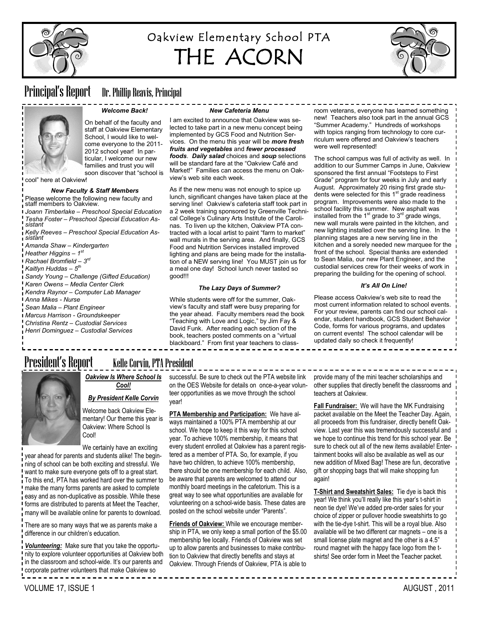

# Oakview Elementary School PTA THE ACORN



# Principal's Report Dr. Phillip Reavis, Principal

#### *Welcome Back!*

On behalf of the faculty and staff at Oakview Elementary School, I would like to welcome everyone to the 2011- 2012 school year! In particular, I welcome our new families and trust you will soon discover that "school is

cool" here at Oakview!

#### *New Faculty & Staff Members*

Please welcome the following new faculty and staff members to Oakview.

*Joann Timberlake – Preschool Special Education Tesha Foster – Preschool Special Education Assistant*

*Kelly Reeves – Preschool Special Education Assistant*

- *Amanda Shaw – Kindergarten*
- *Heather Higgins – 1 st*
- *Rachael Bromfield – 3 rd*
- *Kaitlyn Huddas – 5 th*
- 
- *Sandy Young – Challenge (Gifted Education)*
- *Karen Owens – Media Center Clerk*
- *Kendra Raynor – Computer Lab Manager*
- *Anna Mikes - Nurse*
- *Sean Malia – Plant Engineer*
- *Marcus Harrison - Groundskeeper*
- *Christina Rentz – Custodial Services*
- *Henri Dominguez – Custodial Services*

#### *New Cafeteria Menu*

I am excited to announce that Oakview was selected to take part in a new menu concept being implemented by GCS Food and Nutrition Services. On the menu this year will be *more fresh fruits and vegetables* and *fewer processed foods*. *Daily salad* choices and *soup* selections will be standard fare at the "Oakview Café and Market!" Families can access the menu on Oakview's web site each week.

As if the new menu was not enough to spice up lunch, significant changes have taken place at the serving line! Oakview's cafeteria staff took part in a 2 week training sponsored by Greenville Technical College's Culinary Arts Institute of the Carolinas. To liven up the kitchen, Oakview PTA contracted with a local artist to paint "farm to market" wall murals in the serving area. And finally, GCS Food and Nutrition Services installed improved lighting and plans are being made for the installation of a NEW serving line! You MUST join us for a meal one day! School lunch never tasted so good!!!

#### *The Lazy Days of Summer?*

While students were off for the summer, Oakview's faculty and staff were busy preparing for the year ahead. Faculty members read the book "Teaching with Love and Logic," by Jim Fay & David Funk. After reading each section of the book, teachers posted comments on a "virtual blackboard." From first year teachers to class-

room veterans, everyone has learned something new! Teachers also took part in the annual GCS "Summer Academy." Hundreds of workshops with topics ranging from technology to core curriculum were offered and Oakview's teachers were well represented!

The school campus was full of activity as well. In addition to our Summer Camps in June, Oakview sponsored the first annual "Footsteps to First Grade" program for four weeks in July and early August. Approximately 20 rising first grade students were selected for this 1<sup>st</sup> grade readiness program. Improvements were also made to the school facility this summer. New asphalt was installed from the  $1<sup>st</sup>$  grade to  $3<sup>rd</sup>$  grade wings, new wall murals were painted in the kitchen, and new lighting installed over the serving line. In the planning stages are a new serving line in the kitchen and a sorely needed new marquee for the front of the school. Special thanks are extended to Sean Malia, our new Plant Engineer, and the custodial services crew for their weeks of work in preparing the building for the opening of school.

#### *It's All On Line!*

Please access Oakview's web site to read the most current information related to school events. For your review, parents can find our school calendar, student handbook, GCS Student Behavior Code, forms for various programs, and updates on current events! The school calendar will be updated daily so check it frequently!

# President's Report Kelle Corvin, PTA President



*Oakview Is Where School Is Cool!*

### *By President Kelle Corvin*

Welcome back Oakview Elementary! Our theme this year is Oakview: Where School Is Cool!

We certainly have an exciting

year ahead for parents and students alike! The beginning of school can be both exciting and stressful. We want to make sure everyone gets off to a great start. To this end, PTA has worked hard over the summer to make the many forms parents are asked to complete easy and as non-duplicative as possible. While these forms are distributed to parents at Meet the Teacher, many will be available online for parents to download.

There are so many ways that we as parents make a difference in our children's education.

*Volunteering:* Make sure that you take the opportunity to explore volunteer opportunities at Oakview both in the classroom and school-wide. It's our parents and corporate partner volunteers that make Oakview so

successful. Be sure to check out the PTA website link on the OES Website for details on once-a-year volunteer opportunities as we move through the school year!

**PTA Membership and Participation:** We have always maintained a 100% PTA membership at our school. We hope to keep it this way for this school year. To achieve 100% membership, it means that every student enrolled at Oakview has a parent registered as a member of PTA. So, for example, if you have two children, to achieve 100% membership, there should be one membership for each child. Also, be aware that parents are welcomed to attend our monthly board meetings in the cafetorium. This is a great way to see what opportunities are available for volunteering on a school-wide basis. These dates are posted on the school website under "Parents".

**Friends of Oakview:** While we encourage membership in PTA, we only keep a small portion of the \$5.00 membership fee locally. Friends of Oakview was set up to allow parents and businesses to make contribution to Oakview that directly benefits and stays at Oakview. Through Friends of Oakview, PTA is able to

provide many of the mini teacher scholarships and other supplies that directly benefit the classrooms and teachers at Oakview.

**Fall Fundraiser:** We will have the MK Fundraising packet available on the Meet the Teacher Day. Again, all proceeds from this fundraiser, directly benefit Oakview. Last year this was tremendously successful and we hope to continue this trend for this school year. Be sure to check out all of the new items available! Entertainment books will also be available as well as our new addition of Mixed Bag! These are fun, decorative gift or shopping bags that will make shopping fun again!

**T-Shirt and Sweatshirt Sales:** Tie dye is back this year! We think you'll really like this year's t-shirt in neon tie dye! We've added pre-order sales for your choice of zipper or pullover hoodie sweatshirts to go with the tie-dye t-shirt. This will be a royal blue. Also available will be two different car magnets – one is a small license plate magnet and the other is a 4.5" round magnet with the happy face logo from the tshirts! See order form in Meet the Teacher packet.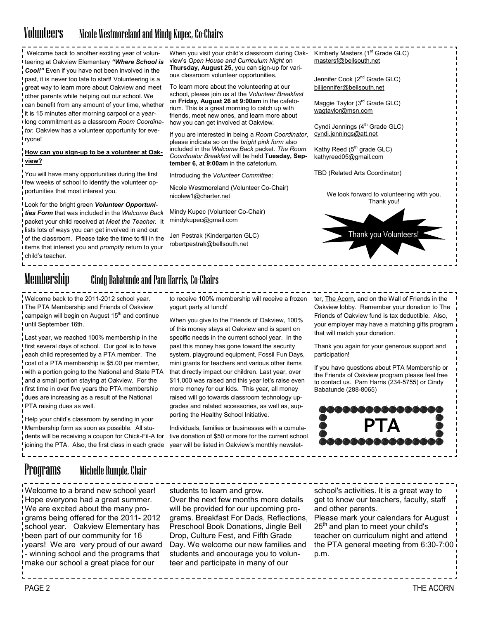## Volunteers Nicole Westmoreland and Mindy Kupec, Co-Chairs

Welcome back to another exciting year of volunteering at Oakview Elementary *"Where School is Cool!"* Even if you have not been involved in the past, it is never too late to start! Volunteering is a great way to learn more about Oakview and meet other parents while helping out our school. We can benefit from any amount of your time, whether it is 15 minutes after morning carpool or a yearlong commitment as a classroom *Room Coordinator.* Oakview has a volunteer opportunity for everyone!

#### **How can you sign-up to be a volunteer at Oakview?**

You will have many opportunities during the first few weeks of school to identify the volunteer opportunities that most interest you.

Look for the bright green *Volunteer Opportunities Form* that was included in the *Welcome Back*  packet your child received at *Meet the Teacher.* It lists lots of ways you can get involved in and out of the classroom. Please take the time to fill in the items that interest you and *promptly* return to your child's teacher.

To learn more about the volunteering at our school, please join us at the *Volunteer Breakfast* on **Friday, August 26 at 9:00am** in the cafetorium. This is a great morning to catch up with friends, meet new ones, and learn more about

how you can get involved at Oakview.

If you are interested in being a *Room Coordinator*, please indicate so on the *bright pink form* also included in the *Welcome Back* packet. *The Room Coordinator Breakfast* will be held **Tuesday, September 6, at 9:00am** in the cafetorium.

When you visit your child's classroom during Oakview's *Open House and Curriculum Night* on **Thursday, August 25,** you can sign-up for various classroom volunteer opportunities.

Introducing the *Volunteer Committee:*

Nicole Westmoreland (Volunteer Co-Chair) [nicolew1@charter.net](mailto:nicolew1@charter.net)

Mindy Kupec (Volunteer Co-Chair) mindykupec@gmail.com

Jen Pestrak (Kindergarten GLC) [robertpestrak@bellsouth.net](mailto:robertpestrak@bellsouth.net) 

Kimberly Masters (1<sup>st</sup> Grade GLC) [mastersf@bellsouth.net](mailto:mastersf@bellsouth.net)

Jennifer Cook (2<sup>nd</sup> Grade GLC) [billjennifer@bellsouth.net](mailto:billjennifer@bellsouth.net)

Maggie Taylor (3<sup>rd</sup> Grade GLC) [wagtaylor@msn.com](mailto:wagtaylor@msn.com)

Cyndi Jennings  $(4<sup>th</sup>$  Grade GLC) [cyndi.jennings@att.net](mailto:cyndi.jennings@att.net)

Kathy Reed  $(5<sup>th</sup>$  grade GLC) [kathyreed05@gmail.com](mailto:kathyreed05@gmail.com)

TBD (Related Arts Coordinator)

We look forward to volunteering with you. Thank you!



# Membership Cindy Babatunde and Pam Harris, Co-Chairs

Welcome back to the 2011-2012 school year. The PTA Membership and Friends of Oakview campaign will begin on August  $15<sup>th</sup>$  and continue until September 16th.

Last year, we reached 100% membership in the first several days of school. Our goal is to have each child represented by a PTA member. The cost of a PTA membership is \$5.00 per member, with a portion going to the National and State PTA and a small portion staying at Oakview. For the first time in over five years the PTA membership dues are increasing as a result of the National PTA raising dues as well.

Help your child's classroom by sending in your Membership form as soon as possible. All students will be receiving a coupon for Chick-Fil-A for joining the PTA. Also, the first class in each grade

to receive 100% membership will receive a frozen ter, The Acorn, and on the Wall of Friends in the yogurt party at lunch!

When you give to the Friends of Oakview, 100% of this money stays at Oakview and is spent on specific needs in the current school year. In the past this money has gone toward the security system, playground equipment, Fossil Fun Days, mini grants for teachers and various other items that directly impact our children. Last year, over \$11,000 was raised and this year let's raise even more money for our kids. This year, all money raised will go towards classroom technology upgrades and related accessories, as well as, supporting the Healthy School Initiative.

Individuals, families or businesses with a cumulative donation of \$50 or more for the current school year will be listed in Oakview's monthly newslet-

Oakview lobby. Remember your donation to The Friends of Oakview fund is tax deductible. Also, your employer may have a matching gifts program that will match your donation.

Thank you again for your generous support and participation!

If you have questions about PTA Membership or the Friends of Oakview program please feel free to contact us. Pam Harris (234-5755) or Cindy Babatunde (288-8065)



## Programs Michelle Rumple, Chair

Welcome to a brand new school year! Hope everyone had a great summer. We are excited about the many programs being offered for the 2011- 2012 school year. Oakview Elementary has been part of our community for 16 years! We are very proud of our award - winning school and the programs that make our school a great place for our

students to learn and grow.

Over the next few months more details will be provided for our upcoming programs. Breakfast For Dads, Reflections, Preschool Book Donations, Jingle Bell Drop, Culture Fest, and Fifth Grade Day. We welcome our new families and students and encourage you to volunteer and participate in many of our

school's activities. It is a great way to get to know our teachers, faculty, staff and other parents.

Please mark your calendars for August 25<sup>th</sup> and plan to meet your child's teacher on curriculum night and attend the PTA general meeting from 6:30-7:00 p.m.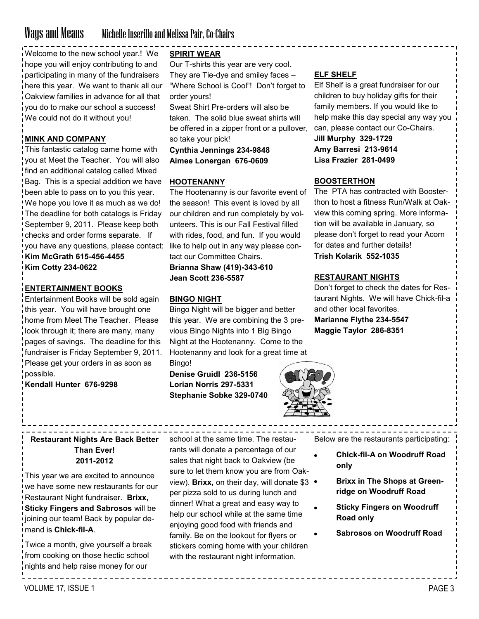## Ways and Means Michelle Inserillo and Melissa Pair, Co-Chairs

Welcome to the new school year.! We hope you will enjoy contributing to and participating in many of the fundraisers here this year. We want to thank all our Oakview families in advance for all that you do to make our school a success! We could not do it without you!

## **MINK AND COMPANY**

This fantastic catalog came home with you at Meet the Teacher. You will also find an additional catalog called Mixed Bag. This is a special addition we have been able to pass on to you this year. We hope you love it as much as we do! The deadline for both catalogs is Friday September 9, 2011. Please keep both checks and order forms separate. If you have any questions, please contact: **Kim McGrath 615-456-4455**

**Kim Cotty 234-0622**

### **ENTERTAINMENT BOOKS**

Entertainment Books will be sold again this year. You will have brought one home from Meet The Teacher. Please look through it; there are many, many pages of savings. The deadline for this fundraiser is Friday September 9, 2011. Please get your orders in as soon as possible.

**Kendall Hunter 676-9298**

## **SPIRIT WEAR**

Our T-shirts this year are very cool. They are Tie-dye and smiley faces – "Where School is Cool"! Don't forget to order yours!

Sweat Shirt Pre-orders will also be taken. The solid blue sweat shirts will be offered in a zipper front or a pullover, so take your pick!

**Cynthia Jennings 234-9848 Aimee Lonergan 676-0609**

#### **HOOTENANNY**

The Hootenanny is our favorite event of the season! This event is loved by all our children and run completely by volunteers. This is our Fall Festival filled with rides, food, and fun. If you would like to help out in any way please contact our Committee Chairs.

**Brianna Shaw (419)-343-610 Jean Scott 236-5587**

### **BINGO NIGHT**

Bingo Night will be bigger and better this year. We are combining the 3 previous Bingo Nights into 1 Big Bingo Night at the Hootenanny. Come to the Hootenanny and look for a great time at

Bingo! **Denise Gruidl 236-5156 Lorian Norris 297-5331 Stephanie Sobke 329-0740**



## **ELF SHELF**

Elf Shelf is a great fundraiser for our children to buy holiday gifts for their family members. If you would like to help make this day special any way you can, please contact our Co-Chairs. **Jill Murphy 329-1729 Amy Barresi 213-9614**

**Lisa Frazier 281-0499**

## **BOOSTERTHON**

The PTA has contracted with Boosterthon to host a fitness Run/Walk at Oakview this coming spring. More information will be available in January, so please don't forget to read your Acorn for dates and further details!

## **Trish Kolarik 552-1035**

### **RESTAURANT NIGHTS**

Don't forget to check the dates for Restaurant Nights. We will have Chick-fil-a and other local favorites. **Marianne Flythe 234-5547 Maggie Taylor 286-8351**

**Restaurant Nights Are Back Better Than Ever! 2011-2012**

This year we are excited to announce we have some new restaurants for our Restaurant Night fundraiser. **Brixx, Sticky Fingers and Sabrosos** will be joining our team! Back by popular demand is **Chick-fil-A**.

Twice a month, give yourself a break from cooking on those hectic school nights and help raise money for our

school at the same time. The restaurants will donate a percentage of our sales that night back to Oakview (be sure to let them know you are from Oakview). **Brixx**, on their day, will donate \$3 . per pizza sold to us during lunch and dinner! What a great and easy way to help our school while at the same time enjoying good food with friends and family. Be on the lookout for flyers or stickers coming home with your children with the restaurant night information.

Below are the restaurants participating:

- **Chick-fil-A on Woodruff Road only**
	- **Brixx in The Shops at Greenridge on Woodruff Road**
- **Sticky Fingers on Woodruff Road only**
- **Sabrosos on Woodruff Road**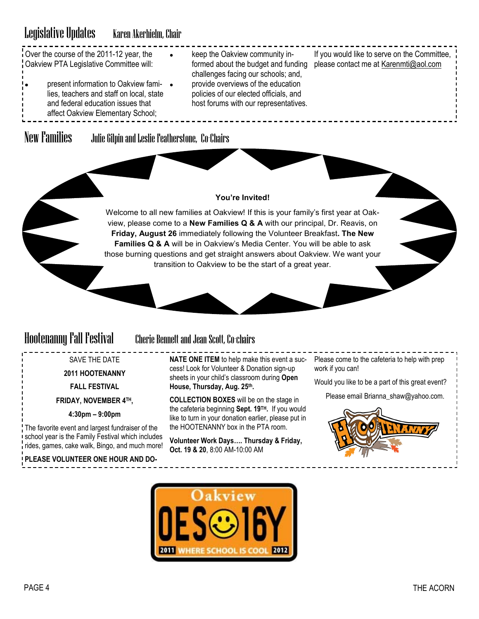# Legislative Updates Karen Akerhielm, Chair

|                                         | Over the course of the 2011-12 year, the | keep the Oakview community in-         | If you would like to serve on the Committee. |
|-----------------------------------------|------------------------------------------|----------------------------------------|----------------------------------------------|
| Oakview PTA Legislative Committee will: |                                          | formed about the budget and funding    | please contact me at Karenmti@aol.com        |
|                                         |                                          | challenges facing our schools; and,    |                                              |
| ۰.                                      | present information to Oakview fami- •   | provide overviews of the education     |                                              |
|                                         | lies, teachers and staff on local, state | policies of our elected officials, and |                                              |
|                                         | and federal education issues that        | host forums with our representatives.  |                                              |
|                                         | affect Oakview Elementary School;        |                                        |                                              |

New Families Julie Gilpin and Leslie Featherstone, Co-Chairs

## **You're Invited!**

Welcome to all new families at Oakview! If this is your family's first year at Oakview, please come to a **New Families Q & A** with our principal, Dr. Reavis, on **Friday, August 26** immediately following the Volunteer Breakfast**. The New Families Q & A** will be in Oakview's Media Center. You will be able to ask those burning questions and get straight answers about Oakview. We want your transition to Oakview to be the start of a great year.

## Hootenanny Fall Festival Cherie Bennett and Jean Scott, Co-chairs

SAVE THE DATE

**2011 HOOTENANNY** 

**FALL FESTIVAL**

**FRIDAY, NOVEMBER 4TH,** 

**4:30pm – 9:00pm**

The favorite event and largest fundraiser of the school year is the Family Festival which includes rides, games, cake walk, Bingo, and much more!

**PLEASE VOLUNTEER ONE HOUR AND DO-**

**NATE ONE ITEM** to help make this event a suc- Please come to the cafeteria to help with prep cess! Look for Volunteer & Donation sign-up sheets in your child's classroom during **Open House, Thursday, Aug. 25th.**

**COLLECTION BOXES** will be on the stage in the cafeteria beginning **Sept. 19TH.** If you would like to turn in your donation earlier, please put in the HOOTENANNY box in the PTA room.

**Volunteer Work Days…. Thursday & Friday, Oct. 19 & 20**, 8:00 AM-10:00 AM

work if you can!

Would you like to be a part of this great event?

Please email Brianna\_shaw@yahoo.com.